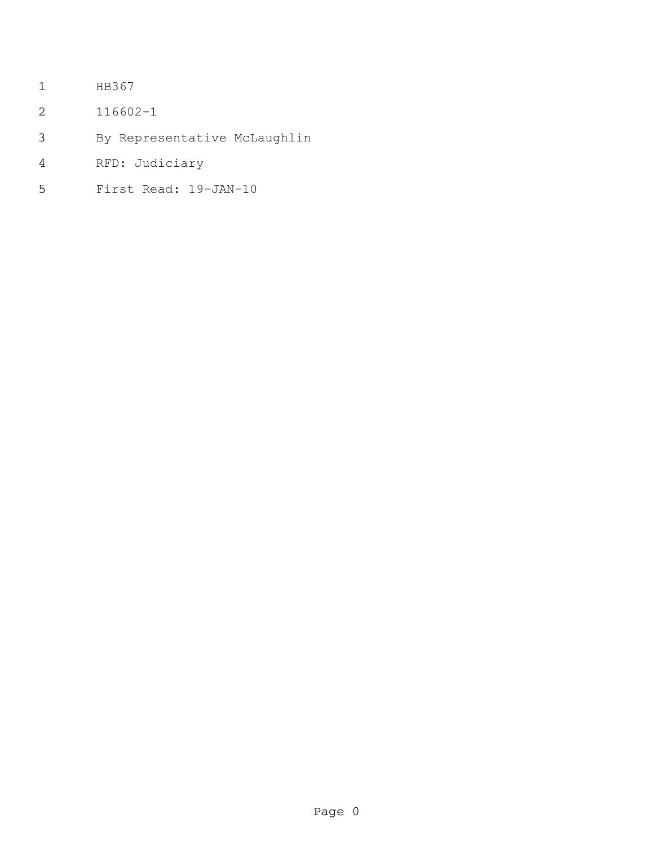- HB367
- 116602-1
- By Representative McLaughlin
- RFD: Judiciary
- First Read: 19-JAN-10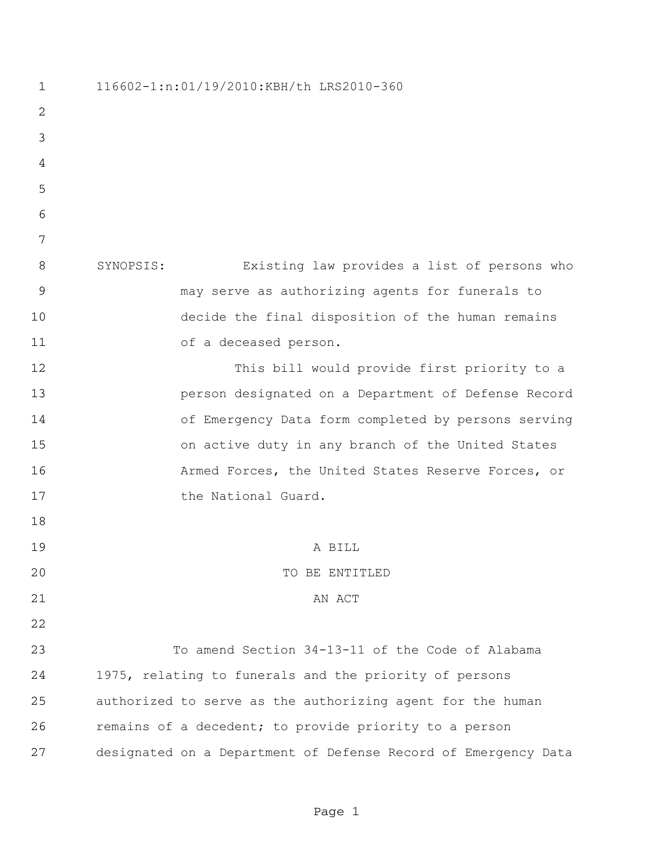116602-1:n:01/19/2010:KBH/th LRS2010-360 SYNOPSIS: Existing law provides a list of persons who may serve as authorizing agents for funerals to decide the final disposition of the human remains of a deceased person. This bill would provide first priority to a person designated on a Department of Defense Record of Emergency Data form completed by persons serving on active duty in any branch of the United States Armed Forces, the United States Reserve Forces, or the National Guard. A BILL 20 TO BE ENTITLED 21 AN ACT To amend Section 34-13-11 of the Code of Alabama 1975, relating to funerals and the priority of persons authorized to serve as the authorizing agent for the human remains of a decedent; to provide priority to a person designated on a Department of Defense Record of Emergency Data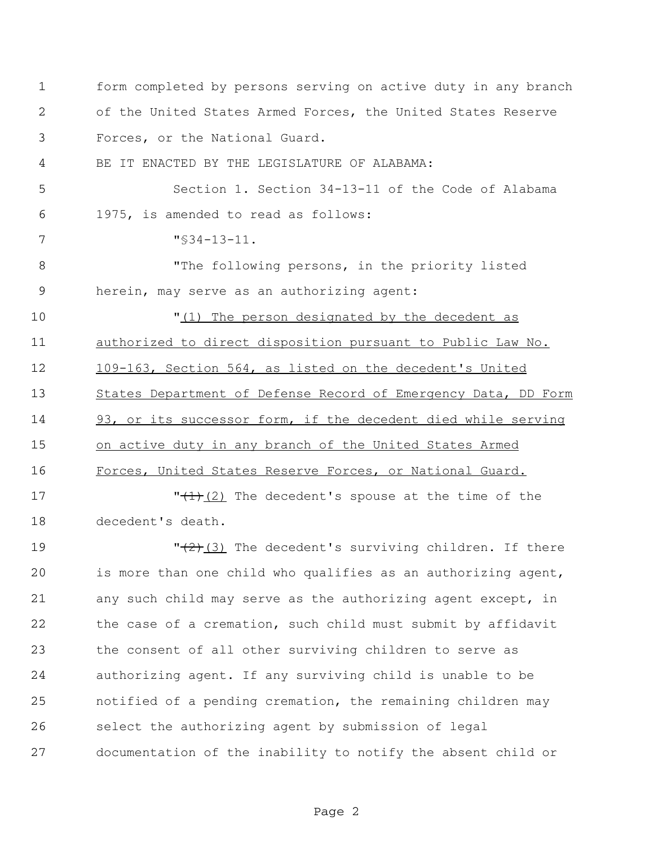form completed by persons serving on active duty in any branch of the United States Armed Forces, the United States Reserve Forces, or the National Guard. BE IT ENACTED BY THE LEGISLATURE OF ALABAMA: Section 1. Section 34-13-11 of the Code of Alabama 1975, is amended to read as follows: "§34-13-11. "The following persons, in the priority listed herein, may serve as an authorizing agent:  $\frac{1}{1}$  The person designated by the decedent as authorized to direct disposition pursuant to Public Law No. 109-163, Section 564, as listed on the decedent's United States Department of Defense Record of Emergency Data, DD Form 93, or its successor form, if the decedent died while serving on active duty in any branch of the United States Armed Forces, United States Reserve Forces, or National Guard.  $\sqrt{(1)(2)}$  The decedent's spouse at the time of the decedent's death.  $\sqrt{(2+(3))}$  The decedent's surviving children. If there is more than one child who qualifies as an authorizing agent, any such child may serve as the authorizing agent except, in the case of a cremation, such child must submit by affidavit the consent of all other surviving children to serve as authorizing agent. If any surviving child is unable to be notified of a pending cremation, the remaining children may select the authorizing agent by submission of legal documentation of the inability to notify the absent child or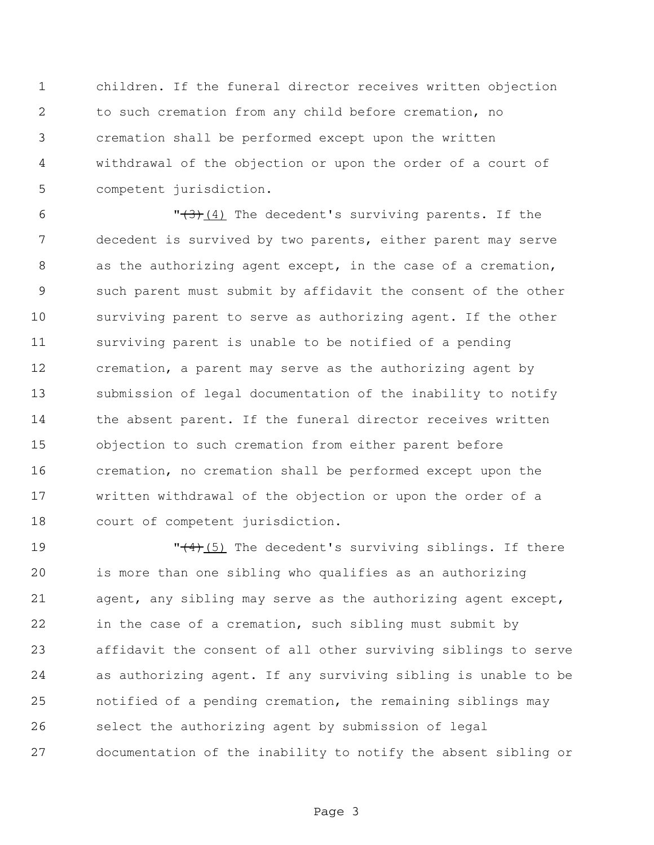children. If the funeral director receives written objection to such cremation from any child before cremation, no cremation shall be performed except upon the written withdrawal of the objection or upon the order of a court of competent jurisdiction.

 $\sqrt{3}$  (4) The decedent's surviving parents. If the decedent is survived by two parents, either parent may serve 8 as the authorizing agent except, in the case of a cremation, such parent must submit by affidavit the consent of the other surviving parent to serve as authorizing agent. If the other surviving parent is unable to be notified of a pending cremation, a parent may serve as the authorizing agent by submission of legal documentation of the inability to notify 14 the absent parent. If the funeral director receives written objection to such cremation from either parent before cremation, no cremation shall be performed except upon the written withdrawal of the objection or upon the order of a court of competent jurisdiction.

19 The decedent's surviving siblings. If there is more than one sibling who qualifies as an authorizing agent, any sibling may serve as the authorizing agent except, in the case of a cremation, such sibling must submit by affidavit the consent of all other surviving siblings to serve as authorizing agent. If any surviving sibling is unable to be notified of a pending cremation, the remaining siblings may select the authorizing agent by submission of legal documentation of the inability to notify the absent sibling or

Page 3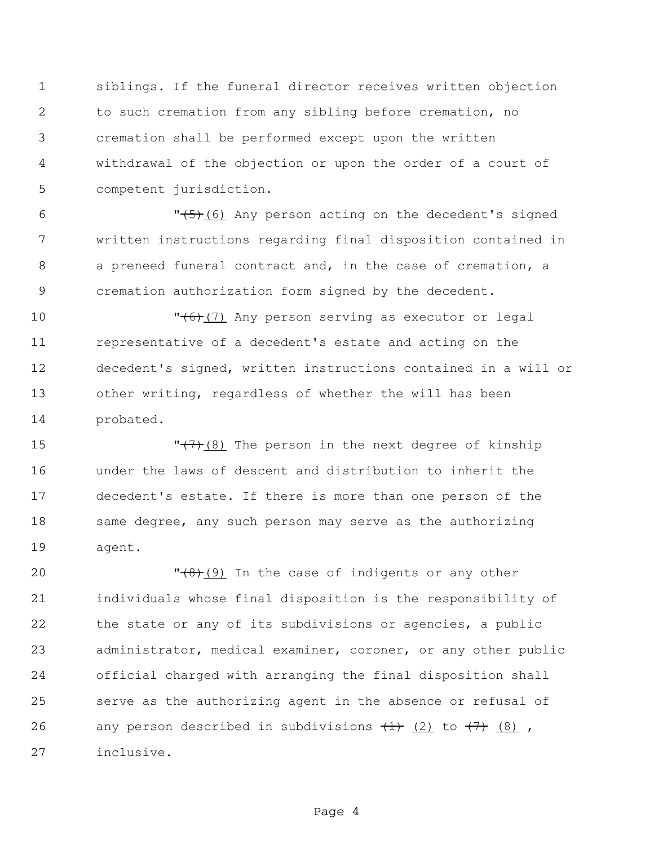siblings. If the funeral director receives written objection to such cremation from any sibling before cremation, no cremation shall be performed except upon the written withdrawal of the objection or upon the order of a court of competent jurisdiction.

6 "(5)(6) Any person acting on the decedent's signed written instructions regarding final disposition contained in a preneed funeral contract and, in the case of cremation, a cremation authorization form signed by the decedent.

 $\sqrt{6}$  (7) Any person serving as executor or legal representative of a decedent's estate and acting on the decedent's signed, written instructions contained in a will or other writing, regardless of whether the will has been probated.

15  $''(\frac{7}{2})$  The person in the next degree of kinship under the laws of descent and distribution to inherit the decedent's estate. If there is more than one person of the 18 same degree, any such person may serve as the authorizing agent.

 $\sqrt{8}$  (9) In the case of indigents or any other individuals whose final disposition is the responsibility of the state or any of its subdivisions or agencies, a public administrator, medical examiner, coroner, or any other public official charged with arranging the final disposition shall serve as the authorizing agent in the absence or refusal of 26 any person described in subdivisions  $\frac{1}{(1)}$   $\frac{1}{(2)}$  to  $\frac{1}{(7)}$   $\frac{1}{(8)}$ , inclusive.

Page 4